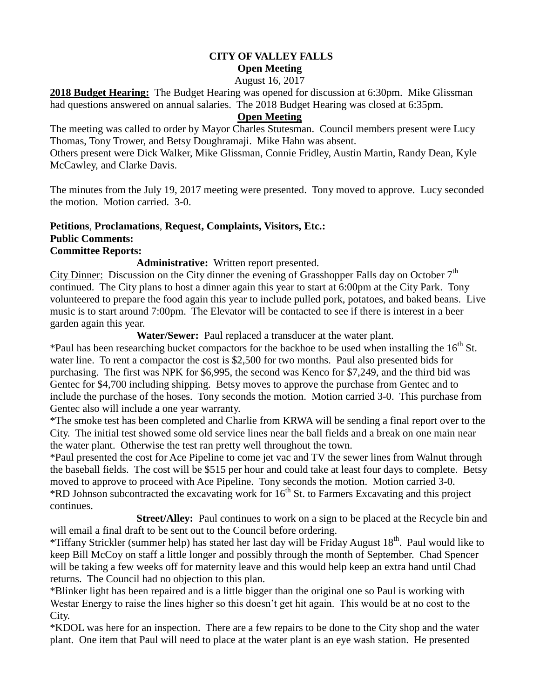# **CITY OF VALLEY FALLS Open Meeting**

August 16, 2017

**2018 Budget Hearing:** The Budget Hearing was opened for discussion at 6:30pm. Mike Glissman had questions answered on annual salaries. The 2018 Budget Hearing was closed at 6:35pm.

#### **Open Meeting**

The meeting was called to order by Mayor Charles Stutesman. Council members present were Lucy Thomas, Tony Trower, and Betsy Doughramaji. Mike Hahn was absent.

Others present were Dick Walker, Mike Glissman, Connie Fridley, Austin Martin, Randy Dean, Kyle McCawley, and Clarke Davis.

The minutes from the July 19, 2017 meeting were presented. Tony moved to approve. Lucy seconded the motion. Motion carried. 3-0.

## **Petitions**, **Proclamations**, **Request, Complaints, Visitors, Etc.: Public Comments:**

#### **Committee Reports:**

**Administrative:** Written report presented.

City Dinner: Discussion on the City dinner the evening of Grasshopper Falls day on October 7<sup>th</sup> continued. The City plans to host a dinner again this year to start at 6:00pm at the City Park. Tony volunteered to prepare the food again this year to include pulled pork, potatoes, and baked beans. Live music is to start around 7:00pm. The Elevator will be contacted to see if there is interest in a beer garden again this year.

**Water/Sewer:** Paul replaced a transducer at the water plant.

\*Paul has been researching bucket compactors for the backhoe to be used when installing the  $16<sup>th</sup>$  St. water line. To rent a compactor the cost is \$2,500 for two months. Paul also presented bids for purchasing. The first was NPK for \$6,995, the second was Kenco for \$7,249, and the third bid was Gentec for \$4,700 including shipping. Betsy moves to approve the purchase from Gentec and to include the purchase of the hoses. Tony seconds the motion. Motion carried 3-0. This purchase from Gentec also will include a one year warranty.

\*The smoke test has been completed and Charlie from KRWA will be sending a final report over to the City. The initial test showed some old service lines near the ball fields and a break on one main near the water plant. Otherwise the test ran pretty well throughout the town.

\*Paul presented the cost for Ace Pipeline to come jet vac and TV the sewer lines from Walnut through the baseball fields. The cost will be \$515 per hour and could take at least four days to complete. Betsy moved to approve to proceed with Ace Pipeline. Tony seconds the motion. Motion carried 3-0. \*RD Johnson subcontracted the excavating work for  $16<sup>th</sup>$  St. to Farmers Excavating and this project continues.

**Street/Alley:** Paul continues to work on a sign to be placed at the Recycle bin and will email a final draft to be sent out to the Council before ordering.

\*Tiffany Strickler (summer help) has stated her last day will be Friday August  $18<sup>th</sup>$ . Paul would like to keep Bill McCoy on staff a little longer and possibly through the month of September. Chad Spencer will be taking a few weeks off for maternity leave and this would help keep an extra hand until Chad returns. The Council had no objection to this plan.

\*Blinker light has been repaired and is a little bigger than the original one so Paul is working with Westar Energy to raise the lines higher so this doesn't get hit again. This would be at no cost to the City.

\*KDOL was here for an inspection. There are a few repairs to be done to the City shop and the water plant. One item that Paul will need to place at the water plant is an eye wash station. He presented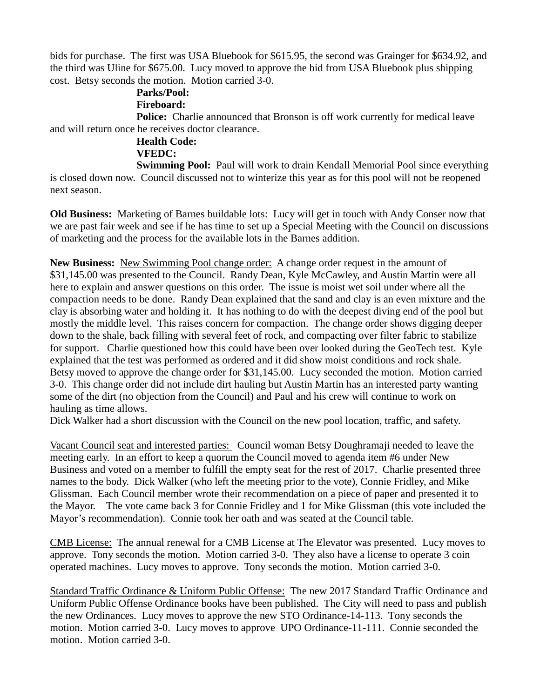bids for purchase. The first was USA Bluebook for \$615.95, the second was Grainger for \$634.92, and the third was Uline for \$675.00. Lucy moved to approve the bid from USA Bluebook plus shipping cost. Betsy seconds the motion. Motion carried 3-0.

# **Parks/Pool:**

### **Fireboard:**

**Police:** Charlie announced that Bronson is off work currently for medical leave and will return once he receives doctor clearance.

## **Health Code:**

#### **VFEDC:**

**Swimming Pool:** Paul will work to drain Kendall Memorial Pool since everything is closed down now. Council discussed not to winterize this year as for this pool will not be reopened next season.

**Old Business:** Marketing of Barnes buildable lots: Lucy will get in touch with Andy Conser now that we are past fair week and see if he has time to set up a Special Meeting with the Council on discussions of marketing and the process for the available lots in the Barnes addition.

**New Business:** New Swimming Pool change order: A change order request in the amount of \$31,145.00 was presented to the Council. Randy Dean, Kyle McCawley, and Austin Martin were all here to explain and answer questions on this order. The issue is moist wet soil under where all the compaction needs to be done. Randy Dean explained that the sand and clay is an even mixture and the clay is absorbing water and holding it. It has nothing to do with the deepest diving end of the pool but mostly the middle level. This raises concern for compaction. The change order shows digging deeper down to the shale, back filling with several feet of rock, and compacting over filter fabric to stabilize for support. Charlie questioned how this could have been over looked during the GeoTech test. Kyle explained that the test was performed as ordered and it did show moist conditions and rock shale. Betsy moved to approve the change order for \$31,145.00. Lucy seconded the motion. Motion carried 3-0. This change order did not include dirt hauling but Austin Martin has an interested party wanting some of the dirt (no objection from the Council) and Paul and his crew will continue to work on hauling as time allows.

Dick Walker had a short discussion with the Council on the new pool location, traffic, and safety.

Vacant Council seat and interested parties: Council woman Betsy Doughramaji needed to leave the meeting early. In an effort to keep a quorum the Council moved to agenda item #6 under New Business and voted on a member to fulfill the empty seat for the rest of 2017. Charlie presented three names to the body. Dick Walker (who left the meeting prior to the vote), Connie Fridley, and Mike Glissman. Each Council member wrote their recommendation on a piece of paper and presented it to the Mayor. The vote came back 3 for Connie Fridley and 1 for Mike Glissman (this vote included the Mayor's recommendation). Connie took her oath and was seated at the Council table.

CMB License: The annual renewal for a CMB License at The Elevator was presented. Lucy moves to approve. Tony seconds the motion. Motion carried 3-0. They also have a license to operate 3 coin operated machines. Lucy moves to approve. Tony seconds the motion. Motion carried 3-0.

Standard Traffic Ordinance & Uniform Public Offense: The new 2017 Standard Traffic Ordinance and Uniform Public Offense Ordinance books have been published. The City will need to pass and publish the new Ordinances. Lucy moves to approve the new STO Ordinance-14-113. Tony seconds the motion. Motion carried 3-0. Lucy moves to approve UPO Ordinance-11-111. Connie seconded the motion. Motion carried 3-0.